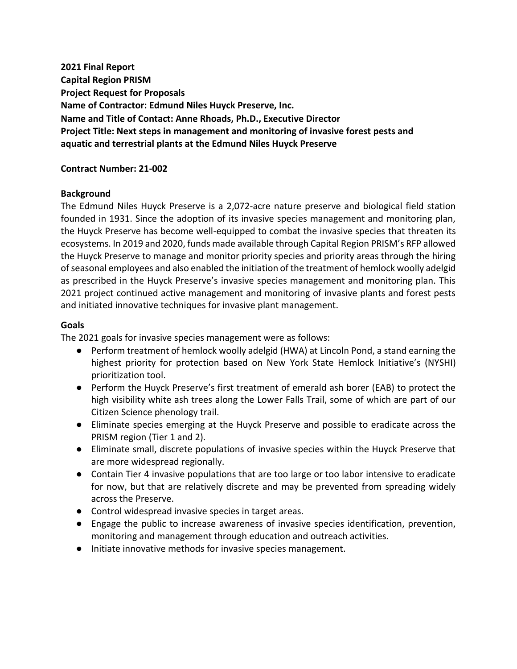**2021 Final Report Capital Region PRISM Project Request for Proposals Name of Contractor: Edmund Niles Huyck Preserve, Inc. Name and Title of Contact: Anne Rhoads, Ph.D., Executive Director Project Title: Next steps in management and monitoring of invasive forest pests and aquatic and terrestrial plants at the Edmund Niles Huyck Preserve**

#### **Contract Number: 21-002**

#### **Background**

The Edmund Niles Huyck Preserve is a 2,072-acre nature preserve and biological field station founded in 1931. Since the adoption of its invasive species management and monitoring plan, the Huyck Preserve has become well-equipped to combat the invasive species that threaten its ecosystems. In 2019 and 2020, funds made available through Capital Region PRISM's RFP allowed the Huyck Preserve to manage and monitor priority species and priority areas through the hiring of seasonal employees and also enabled the initiation of the treatment of hemlock woolly adelgid as prescribed in the Huyck Preserve's invasive species management and monitoring plan. This 2021 project continued active management and monitoring of invasive plants and forest pests and initiated innovative techniques for invasive plant management.

#### **Goals**

The 2021 goals for invasive species management were as follows:

- Perform treatment of hemlock woolly adelgid (HWA) at Lincoln Pond, a stand earning the highest priority for protection based on New York State Hemlock Initiative's (NYSHI) prioritization tool.
- Perform the Huyck Preserve's first treatment of emerald ash borer (EAB) to protect the high visibility white ash trees along the Lower Falls Trail, some of which are part of our Citizen Science phenology trail.
- Eliminate species emerging at the Huyck Preserve and possible to eradicate across the PRISM region (Tier 1 and 2).
- Eliminate small, discrete populations of invasive species within the Huyck Preserve that are more widespread regionally.
- Contain Tier 4 invasive populations that are too large or too labor intensive to eradicate for now, but that are relatively discrete and may be prevented from spreading widely across the Preserve.
- Control widespread invasive species in target areas.
- Engage the public to increase awareness of invasive species identification, prevention, monitoring and management through education and outreach activities.
- Initiate innovative methods for invasive species management.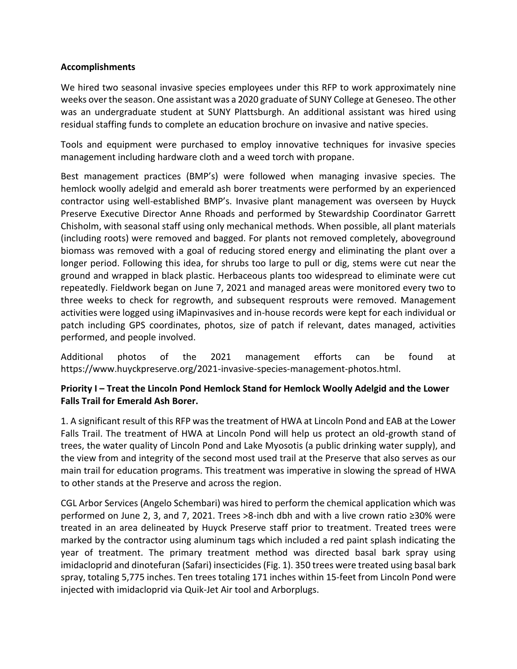## **Accomplishments**

We hired two seasonal invasive species employees under this RFP to work approximately nine weeks over the season. One assistant was a 2020 graduate of SUNY College at Geneseo. The other was an undergraduate student at SUNY Plattsburgh. An additional assistant was hired using residual staffing funds to complete an education brochure on invasive and native species.

Tools and equipment were purchased to employ innovative techniques for invasive species management including hardware cloth and a weed torch with propane.

Best management practices (BMP's) were followed when managing invasive species. The hemlock woolly adelgid and emerald ash borer treatments were performed by an experienced contractor using well-established BMP's. Invasive plant management was overseen by Huyck Preserve Executive Director Anne Rhoads and performed by Stewardship Coordinator Garrett Chisholm, with seasonal staff using only mechanical methods. When possible, all plant materials (including roots) were removed and bagged. For plants not removed completely, aboveground biomass was removed with a goal of reducing stored energy and eliminating the plant over a longer period. Following this idea, for shrubs too large to pull or dig, stems were cut near the ground and wrapped in black plastic. Herbaceous plants too widespread to eliminate were cut repeatedly. Fieldwork began on June 7, 2021 and managed areas were monitored every two to three weeks to check for regrowth, and subsequent resprouts were removed. Management activities were logged using iMapinvasives and in-house records were kept for each individual or patch including GPS coordinates, photos, size of patch if relevant, dates managed, activities performed, and people involved.

Additional photos of the 2021 management efforts can be found at https://www.huyckpreserve.org/2021-invasive-species-management-photos.html.

# **Priority I – Treat the Lincoln Pond Hemlock Stand for Hemlock Woolly Adelgid and the Lower Falls Trail for Emerald Ash Borer.**

1. A significant result of this RFP was the treatment of HWA at Lincoln Pond and EAB at the Lower Falls Trail. The treatment of HWA at Lincoln Pond will help us protect an old-growth stand of trees, the water quality of Lincoln Pond and Lake Myosotis (a public drinking water supply), and the view from and integrity of the second most used trail at the Preserve that also serves as our main trail for education programs. This treatment was imperative in slowing the spread of HWA to other stands at the Preserve and across the region.

CGL Arbor Services (Angelo Schembari) was hired to perform the chemical application which was performed on June 2, 3, and 7, 2021. Trees >8-inch dbh and with a live crown ratio ≥30% were treated in an area delineated by Huyck Preserve staff prior to treatment. Treated trees were marked by the contractor using aluminum tags which included a red paint splash indicating the year of treatment. The primary treatment method was directed basal bark spray using imidacloprid and dinotefuran (Safari) insecticides (Fig. 1). 350 trees were treated using basal bark spray, totaling 5,775 inches. Ten trees totaling 171 inches within 15-feet from Lincoln Pond were injected with imidacloprid via Quik-Jet Air tool and Arborplugs.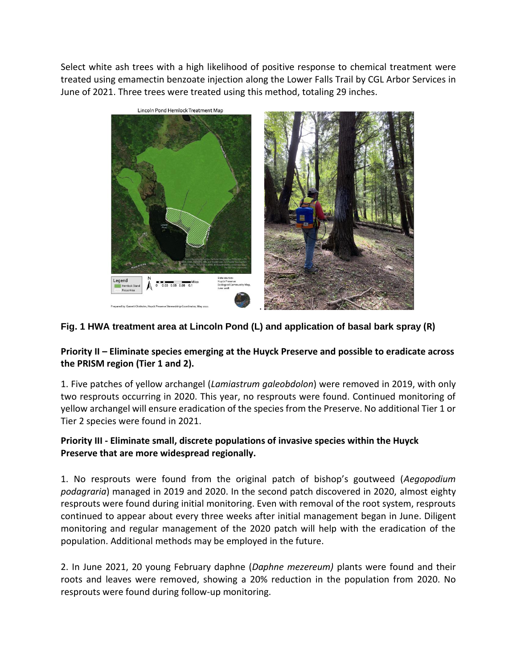Select white ash trees with a high likelihood of positive response to chemical treatment were treated using emamectin benzoate injection along the Lower Falls Trail by CGL Arbor Services in June of 2021. Three trees were treated using this method, totaling 29 inches.



## **Fig. 1 HWA treatment area at Lincoln Pond (L) and application of basal bark spray (R)**

## **Priority II – Eliminate species emerging at the Huyck Preserve and possible to eradicate across the PRISM region (Tier 1 and 2).**

1. Five patches of yellow archangel (*Lamiastrum galeobdolon*) were removed in 2019, with only two resprouts occurring in 2020. This year, no resprouts were found. Continued monitoring of yellow archangel will ensure eradication of the species from the Preserve. No additional Tier 1 or Tier 2 species were found in 2021.

## **Priority III - Eliminate small, discrete populations of invasive species within the Huyck Preserve that are more widespread regionally.**

1. No resprouts were found from the original patch of bishop's goutweed (*Aegopodium podagraria*) managed in 2019 and 2020. In the second patch discovered in 2020, almost eighty resprouts were found during initial monitoring. Even with removal of the root system, resprouts continued to appear about every three weeks after initial management began in June. Diligent monitoring and regular management of the 2020 patch will help with the eradication of the population. Additional methods may be employed in the future.

2. In June 2021, 20 young February daphne (*Daphne mezereum)* plants were found and their roots and leaves were removed, showing a 20% reduction in the population from 2020. No resprouts were found during follow-up monitoring.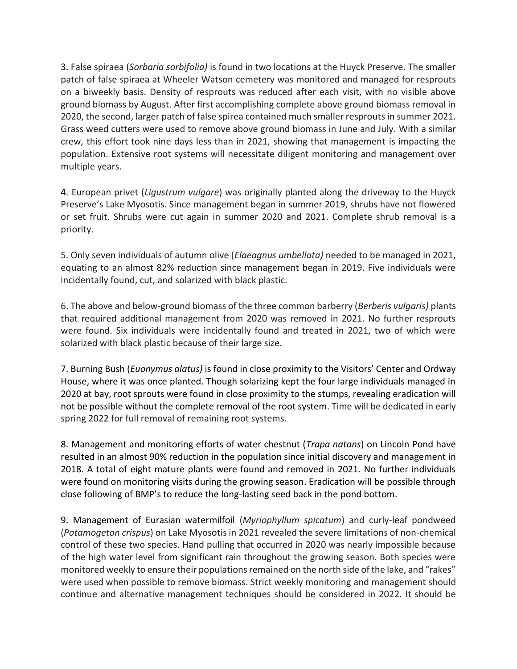3. False spiraea (*Sorbaria sorbifolia)* is found in two locations at the Huyck Preserve. The smaller patch of false spiraea at Wheeler Watson cemetery was monitored and managed for resprouts on a biweekly basis. Density of resprouts was reduced after each visit, with no visible above ground biomass by August. After first accomplishing complete above ground biomass removal in 2020, the second, larger patch of false spirea contained much smaller resprouts in summer 2021. Grass weed cutters were used to remove above ground biomass in June and July. With a similar crew, this effort took nine days less than in 2021, showing that management is impacting the population. Extensive root systems will necessitate diligent monitoring and management over multiple years.

4. European privet (*Ligustrum vulgare*) was originally planted along the driveway to the Huyck Preserve's Lake Myosotis. Since management began in summer 2019, shrubs have not flowered or set fruit. Shrubs were cut again in summer 2020 and 2021. Complete shrub removal is a priority.

5. Only seven individuals of autumn olive (*Elaeagnus umbellata)* needed to be managed in 2021, equating to an almost 82% reduction since management began in 2019. Five individuals were incidentally found, cut, and solarized with black plastic.

6. The above and below-ground biomass of the three common barberry (*Berberis vulgaris)* plants that required additional management from 2020 was removed in 2021. No further resprouts were found. Six individuals were incidentally found and treated in 2021, two of which were solarized with black plastic because of their large size.

7. Burning Bush (*Euonymus alatus)* is found in close proximity to the Visitors' Center and Ordway House, where it was once planted. Though solarizing kept the four large individuals managed in 2020 at bay, root sprouts were found in close proximity to the stumps, revealing eradication will not be possible without the complete removal of the root system. Time will be dedicated in early spring 2022 for full removal of remaining root systems.

8. Management and monitoring efforts of water chestnut (*Trapa natans*) on Lincoln Pond have resulted in an almost 90% reduction in the population since initial discovery and management in 2018. A total of eight mature plants were found and removed in 2021. No further individuals were found on monitoring visits during the growing season. Eradication will be possible through close following of BMP's to reduce the long-lasting seed back in the pond bottom.

9. Management of Eurasian watermilfoil (*Myriophyllum spicatum*) and curly-leaf pondweed (*Potamogeton crispus*) on Lake Myosotis in 2021 revealed the severe limitations of non-chemical control of these two species. Hand pulling that occurred in 2020 was nearly impossible because of the high water level from significant rain throughout the growing season. Both species were monitored weekly to ensure their populations remained on the north side of the lake, and "rakes" were used when possible to remove biomass. Strict weekly monitoring and management should continue and alternative management techniques should be considered in 2022. It should be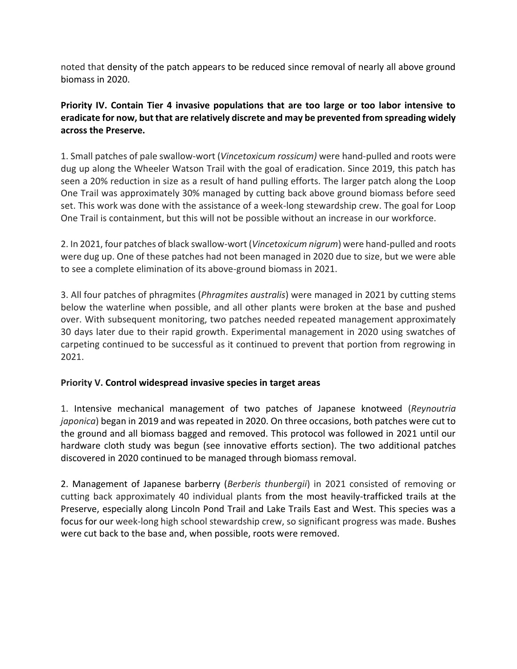noted that density of the patch appears to be reduced since removal of nearly all above ground biomass in 2020.

**Priority IV. Contain Tier 4 invasive populations that are too large or too labor intensive to eradicate for now, but that are relatively discrete and may be prevented from spreading widely across the Preserve.**

1. Small patches of pale swallow-wort (*Vincetoxicum rossicum)* were hand-pulled and roots were dug up along the Wheeler Watson Trail with the goal of eradication. Since 2019, this patch has seen a 20% reduction in size as a result of hand pulling efforts. The larger patch along the Loop One Trail was approximately 30% managed by cutting back above ground biomass before seed set. This work was done with the assistance of a week-long stewardship crew. The goal for Loop One Trail is containment, but this will not be possible without an increase in our workforce.

2. In 2021, four patches of black swallow-wort (*Vincetoxicum nigrum*) were hand-pulled and roots were dug up. One of these patches had not been managed in 2020 due to size, but we were able to see a complete elimination of its above-ground biomass in 2021.

3. All four patches of phragmites (*Phragmites australis*) were managed in 2021 by cutting stems below the waterline when possible, and all other plants were broken at the base and pushed over. With subsequent monitoring, two patches needed repeated management approximately 30 days later due to their rapid growth. Experimental management in 2020 using swatches of carpeting continued to be successful as it continued to prevent that portion from regrowing in 2021.

# **Priority V. Control widespread invasive species in target areas**

1. Intensive mechanical management of two patches of Japanese knotweed (*Reynoutria japonica*) began in 2019 and was repeated in 2020. On three occasions, both patches were cut to the ground and all biomass bagged and removed. This protocol was followed in 2021 until our hardware cloth study was begun (see innovative efforts section). The two additional patches discovered in 2020 continued to be managed through biomass removal.

2. Management of Japanese barberry (*Berberis thunbergii*) in 2021 consisted of removing or cutting back approximately 40 individual plants from the most heavily-trafficked trails at the Preserve, especially along Lincoln Pond Trail and Lake Trails East and West. This species was a focus for our week-long high school stewardship crew, so significant progress was made. Bushes were cut back to the base and, when possible, roots were removed.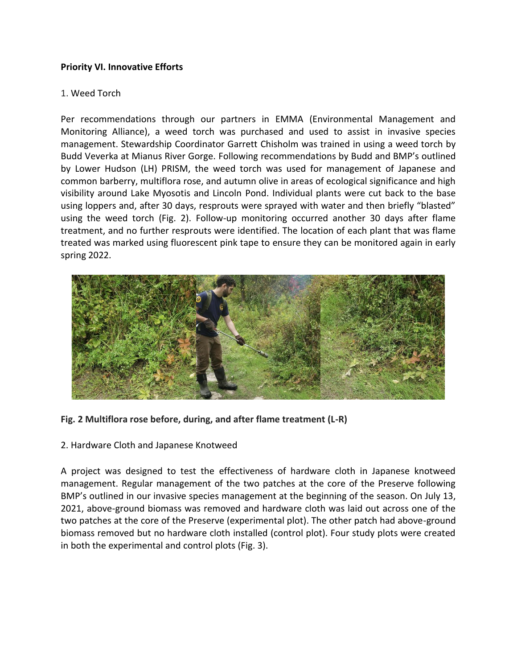## **Priority VI. Innovative Efforts**

#### 1. Weed Torch

Per recommendations through our partners in EMMA (Environmental Management and Monitoring Alliance), a weed torch was purchased and used to assist in invasive species management. Stewardship Coordinator Garrett Chisholm was trained in using a weed torch by Budd Veverka at Mianus River Gorge. Following recommendations by Budd and BMP's outlined by Lower Hudson (LH) PRISM, the weed torch was used for management of Japanese and common barberry, multiflora rose, and autumn olive in areas of ecological significance and high visibility around Lake Myosotis and Lincoln Pond. Individual plants were cut back to the base using loppers and, after 30 days, resprouts were sprayed with water and then briefly "blasted" using the weed torch (Fig. 2). Follow-up monitoring occurred another 30 days after flame treatment, and no further resprouts were identified. The location of each plant that was flame treated was marked using fluorescent pink tape to ensure they can be monitored again in early spring 2022.



**Fig. 2 Multiflora rose before, during, and after flame treatment (L-R)**

2. Hardware Cloth and Japanese Knotweed

A project was designed to test the effectiveness of hardware cloth in Japanese knotweed management. Regular management of the two patches at the core of the Preserve following BMP's outlined in our invasive species management at the beginning of the season. On July 13, 2021, above-ground biomass was removed and hardware cloth was laid out across one of the two patches at the core of the Preserve (experimental plot). The other patch had above-ground biomass removed but no hardware cloth installed (control plot). Four study plots were created in both the experimental and control plots (Fig. 3).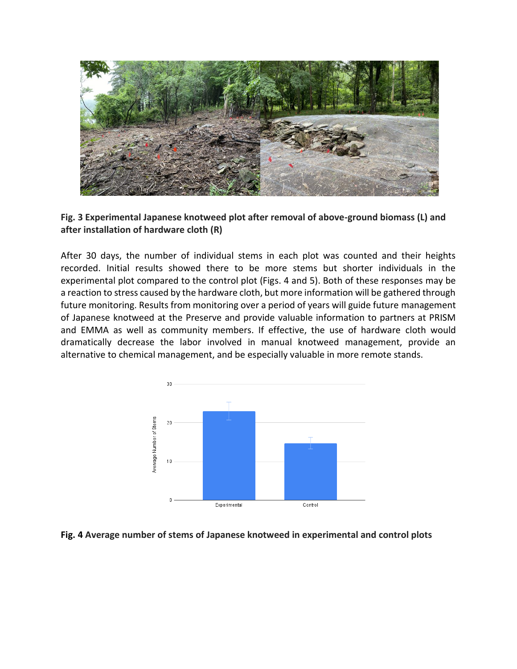

# **Fig. 3 Experimental Japanese knotweed plot after removal of above-ground biomass (L) and after installation of hardware cloth (R)**

After 30 days, the number of individual stems in each plot was counted and their heights recorded. Initial results showed there to be more stems but shorter individuals in the experimental plot compared to the control plot (Figs. 4 and 5). Both of these responses may be a reaction to stress caused by the hardware cloth, but more information will be gathered through future monitoring. Results from monitoring over a period of years will guide future management of Japanese knotweed at the Preserve and provide valuable information to partners at PRISM and EMMA as well as community members. If effective, the use of hardware cloth would dramatically decrease the labor involved in manual knotweed management, provide an alternative to chemical management, and be especially valuable in more remote stands.



#### **Fig. 4 Average number of stems of Japanese knotweed in experimental and control plots**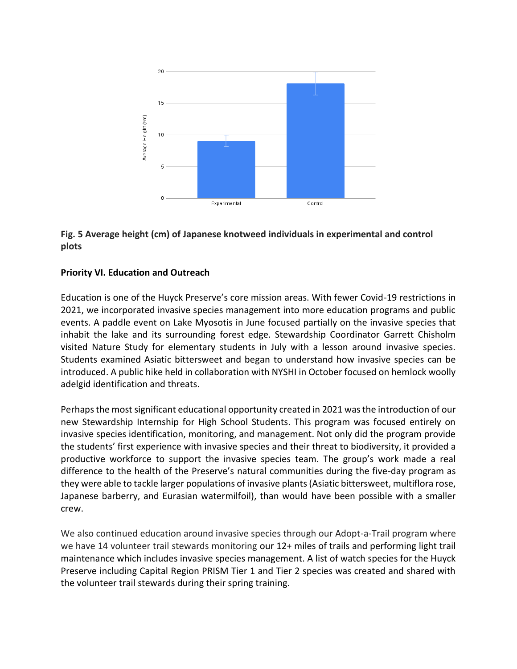

# **Fig. 5 Average height (cm) of Japanese knotweed individuals in experimental and control plots**

# **Priority VI. Education and Outreach**

Education is one of the Huyck Preserve's core mission areas. With fewer Covid-19 restrictions in 2021, we incorporated invasive species management into more education programs and public events. A paddle event on Lake Myosotis in June focused partially on the invasive species that inhabit the lake and its surrounding forest edge. Stewardship Coordinator Garrett Chisholm visited Nature Study for elementary students in July with a lesson around invasive species. Students examined Asiatic bittersweet and began to understand how invasive species can be introduced. A public hike held in collaboration with NYSHI in October focused on hemlock woolly adelgid identification and threats.

Perhaps the most significant educational opportunity created in 2021 was the introduction of our new Stewardship Internship for High School Students. This program was focused entirely on invasive species identification, monitoring, and management. Not only did the program provide the students' first experience with invasive species and their threat to biodiversity, it provided a productive workforce to support the invasive species team. The group's work made a real difference to the health of the Preserve's natural communities during the five-day program as they were able to tackle larger populations of invasive plants (Asiatic bittersweet, multiflora rose, Japanese barberry, and Eurasian watermilfoil), than would have been possible with a smaller crew.

We also continued education around invasive species through our Adopt-a-Trail program where we have 14 volunteer trail stewards monitoring our 12+ miles of trails and performing light trail maintenance which includes invasive species management. A list of watch species for the Huyck Preserve including Capital Region PRISM Tier 1 and Tier 2 species was created and shared with the volunteer trail stewards during their spring training.